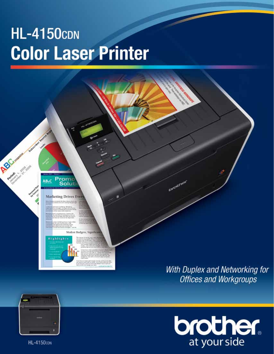# **HL-4150cDN Color Laser Printer**





**HL-4150con**